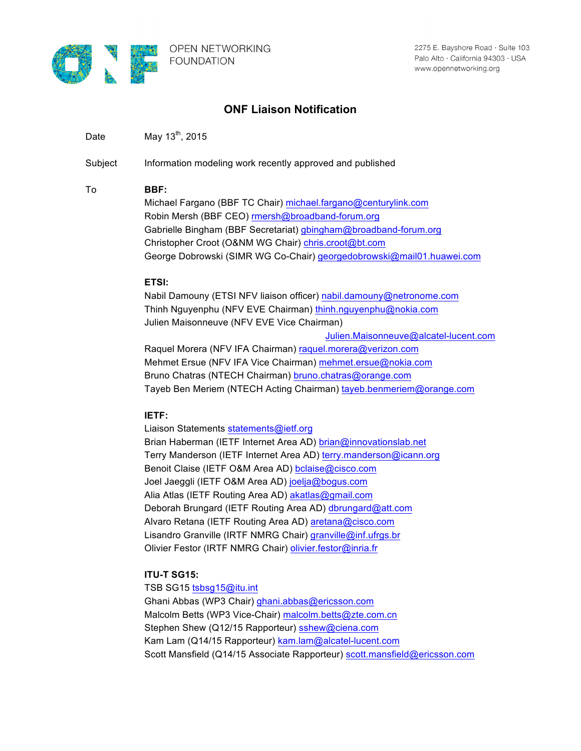

# **ONF Liaison Notification**

Date May  $13^{th}$ , 2015

Subject Information modeling work recently approved and published

## To **BBF:**

Michael Fargano (BBF TC Chair) michael.fargano@centurylink.com Robin Mersh (BBF CEO) rmersh@broadband-forum.org Gabrielle Bingham (BBF Secretariat) gbingham@broadband-forum.org Christopher Croot (O&NM WG Chair) chris.croot@bt.com George Dobrowski (SIMR WG Co-Chair) georgedobrowski@mail01.huawei.com

## **ETSI:**

Nabil Damouny (ETSI NFV liaison officer) nabil.damouny@netronome.com Thinh Nguyenphu (NFV EVE Chairman) thinh.nguyenphu@nokia.com Julien Maisonneuve (NFV EVE Vice Chairman)

Julien.Maisonneuve@alcatel-lucent.com

Raquel Morera (NFV IFA Chairman) raquel.morera@verizon.com Mehmet Ersue (NFV IFA Vice Chairman) mehmet.ersue@nokia.com Bruno Chatras (NTECH Chairman) bruno.chatras@orange.com Tayeb Ben Meriem (NTECH Acting Chairman) tayeb.benmeriem@orange.com

# **IETF:**

Liaison Statements statements@ietf.org Brian Haberman (IETF Internet Area AD) brian@innovationslab.net Terry Manderson (IETF Internet Area AD) terry.manderson@icann.org Benoit Claise (IETF O&M Area AD) bclaise@cisco.com Joel Jaeggli (IETF O&M Area AD) joelja@bogus.com Alia Atlas (IETF Routing Area AD) akatlas@gmail.com Deborah Brungard (IETF Routing Area AD) dbrungard@att.com Alvaro Retana (IETF Routing Area AD) aretana@cisco.com Lisandro Granville (IRTF NMRG Chair) granville@inf.ufrgs.br Olivier Festor (IRTF NMRG Chair) olivier.festor@inria.fr

# **ITU-T SG15:**

TSB SG15 tsbsq15@itu.int Ghani Abbas (WP3 Chair) ghani.abbas@ericsson.com Malcolm Betts (WP3 Vice-Chair) malcolm.betts@zte.com.cn Stephen Shew (Q12/15 Rapporteur) sshew@ciena.com Kam Lam (Q14/15 Rapporteur) kam.lam@alcatel-lucent.com Scott Mansfield (Q14/15 Associate Rapporteur) scott.mansfield@ericsson.com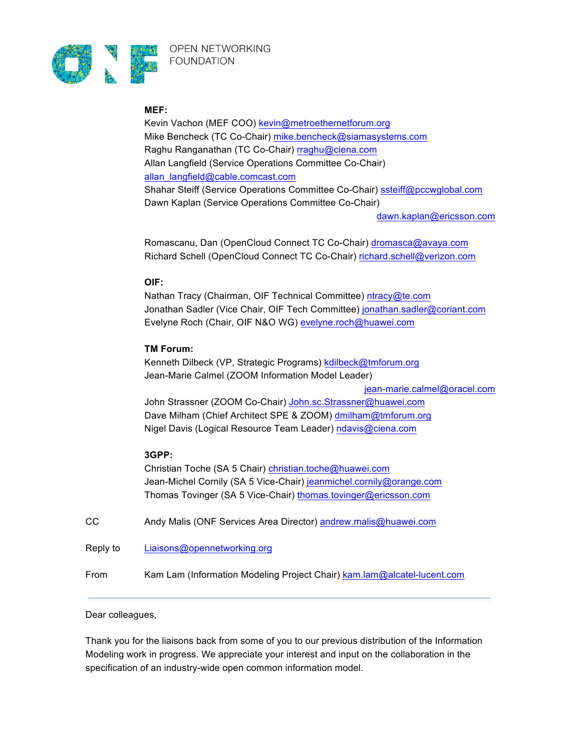

#### **MEF:**

Kevin Vachon (MEF COO) kevin@metroethernetforum.org Mike Bencheck (TC Co-Chair) mike.bencheck@siamasystems.com Raghu Ranganathan (TC Co-Chair) rraghu@ciena.com Allan Langfield (Service Operations Committee Co-Chair) allan\_langfield@cable.comcast.com Shahar Steiff (Service Operations Committee Co-Chair) ssteiff@pccwglobal.com Dawn Kaplan (Service Operations Committee Co-Chair)

dawn.kaplan@ericsson.com

Romascanu, Dan (OpenCloud Connect TC Co-Chair) dromasca@avaya.com Richard Schell (OpenCloud Connect TC Co-Chair) richard.schell@verizon.com

## **OIF:**

Nathan Tracy (Chairman, OIF Technical Committee) ntracy@te.com Jonathan Sadler (Vice Chair, OIF Tech Committee) jonathan.sadler@coriant.com Evelyne Roch (Chair, OIF N&O WG) evelyne.roch@huawei.com

## **TM Forum:**

Kenneth Dilbeck (VP, Strategic Programs) kdilbeck@tmforum.org Jean-Marie Calmel (ZOOM Information Model Leader) jean-marie.calmel@oracel.com

John Strassner (ZOOM Co-Chair) John.sc.Strassner@huawei.com Dave Milham (Chief Architect SPE & ZOOM) dmilham@tmforum.org Nigel Davis (Logical Resource Team Leader) ndavis@ciena.com

# **3GPP:**

Christian Toche (SA 5 Chair) christian.toche@huawei.com Jean-Michel Cornily (SA 5 Vice-Chair) jeanmichel.cornily@orange.com Thomas Tovinger (SA 5 Vice-Chair) thomas.tovinger@ericsson.com

CC Andy Malis (ONF Services Area Director) andrew.malis@huawei.com

Reply to Liaisons@opennetworking.org

From Kam Lam (Information Modeling Project Chair) kam.lam@alcatel-lucent.com

#### Dear colleagues,

Thank you for the liaisons back from some of you to our previous distribution of the Information Modeling work in progress. We appreciate your interest and input on the collaboration in the specification of an industry-wide open common information model.